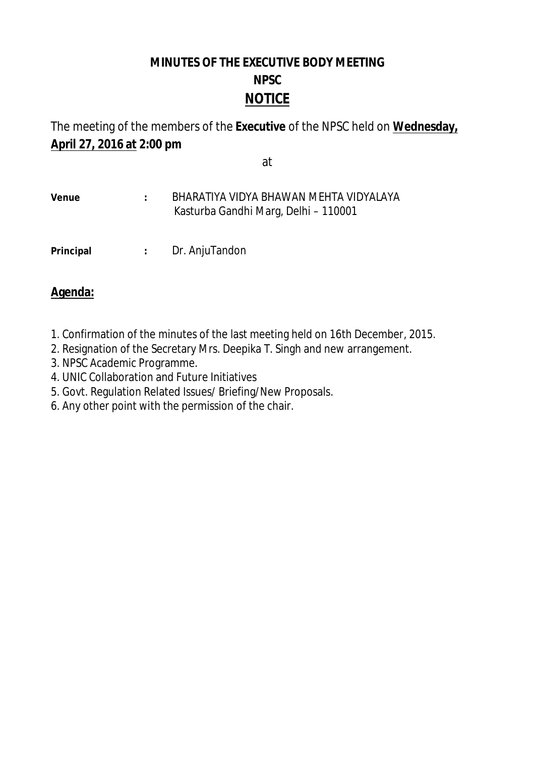# **MINUTES OF THE EXECUTIVE BODY MEETING NPSC NOTICE**

The meeting of the members of the **Executive** of the NPSC held on **Wednesday, April 27, 2016 at 2:00 pm**

#### at

### **Venue :** BHARATIYA VIDYA BHAWAN MEHTA VIDYALAYA Kasturba Gandhi Marg, Delhi – 110001

**Principal :** Dr. AnjuTandon

## **Agenda:**

- 1. Confirmation of the minutes of the last meeting held on 16th December, 2015.
- 2. Resignation of the Secretary Mrs. Deepika T. Singh and new arrangement.
- 3. NPSC Academic Programme.
- 4. UNIC Collaboration and Future Initiatives
- 5. Govt. Regulation Related Issues/ Briefing/New Proposals.
- 6. Any other point with the permission of the chair.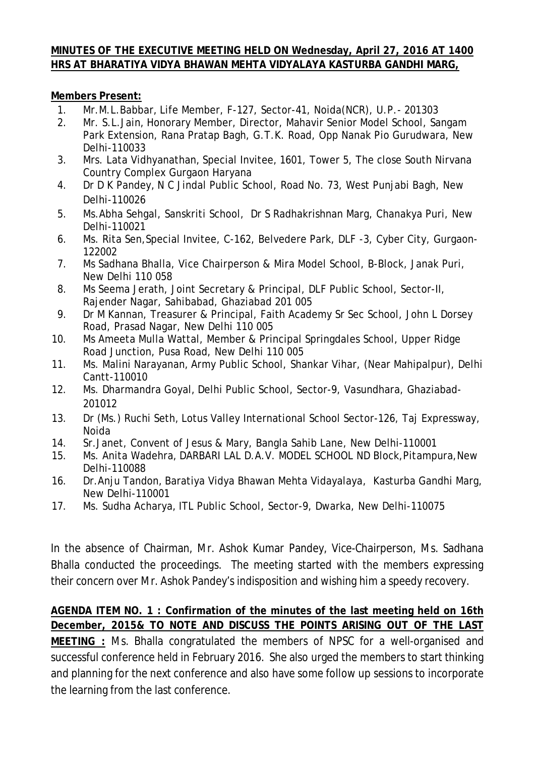#### **MINUTES OF THE EXECUTIVE MEETING HELD ON Wednesday, April 27, 2016 AT 1400 HRS AT BHARATIYA VIDYA BHAWAN MEHTA VIDYALAYA KASTURBA GANDHI MARG,**

**Members Present:** 

- 1. Mr.M.L.Babbar, Life Member, F-127, Sector-41, Noida(NCR), U.P.- 201303
- 2. Mr. S.L.Jain, Honorary Member, Director, Mahavir Senior Model School, Sangam Park Extension, Rana Pratap Bagh, G.T.K. Road, Opp Nanak Pio Gurudwara, New Delhi-110033
- 3. Mrs. Lata Vidhyanathan, Special Invitee, 1601, Tower 5, The close South Nirvana Country Complex Gurgaon Haryana
- 4. Dr D K Pandey, N C Jindal Public School, Road No. 73, West Punjabi Bagh, New Delhi-110026
- 5. Ms.Abha Sehgal, Sanskriti School, Dr S Radhakrishnan Marg, Chanakya Puri, New Delhi-110021
- 6. Ms. Rita Sen,Special Invitee, C-162, Belvedere Park, DLF -3, Cyber City, Gurgaon-122002
- 7. Ms Sadhana Bhalla, Vice Chairperson & Mira Model School, B-Block, Janak Puri, New Delhi 110 058
- 8. Ms Seema Jerath, Joint Secretary & Principal, DLF Public School, Sector-II, Rajender Nagar, Sahibabad, Ghaziabad 201 005
- 9. Dr M Kannan, Treasurer & Principal, Faith Academy Sr Sec School, John L Dorsey Road, Prasad Nagar, New Delhi 110 005
- 10. Ms Ameeta Mulla Wattal, Member & Principal Springdales School, Upper Ridge Road Junction, Pusa Road, New Delhi 110 005
- 11. Ms. Malini Narayanan, Army Public School, Shankar Vihar, (Near Mahipalpur), Delhi Cantt-110010
- 12. Ms. Dharmandra Goyal, Delhi Public School, Sector-9, Vasundhara, Ghaziabad-201012
- 13. Dr (Ms.) Ruchi Seth, Lotus Valley International School Sector-126, Taj Expressway, Noida
- 14. Sr.Janet, Convent of Jesus & Mary, Bangla Sahib Lane, New Delhi-110001
- 15. Ms. Anita Wadehra, DARBARI LAL D.A.V. MODEL SCHOOL ND Block,Pitampura,New Delhi-110088
- 16. Dr.Anju Tandon, Baratiya Vidya Bhawan Mehta Vidayalaya, Kasturba Gandhi Marg, New Delhi-110001
- 17. Ms. Sudha Acharya, ITL Public School, Sector-9, Dwarka, New Delhi-110075

In the absence of Chairman, Mr. Ashok Kumar Pandey, Vice-Chairperson, Ms. Sadhana Bhalla conducted the proceedings. The meeting started with the members expressing their concern over Mr. Ashok Pandey's indisposition and wishing him a speedy recovery.

**AGENDA ITEM NO. 1 : Confirmation of the minutes of the last meeting held on 16th December, 2015& TO NOTE AND DISCUSS THE POINTS ARISING OUT OF THE LAST MEETING :** Ms. Bhalla congratulated the members of NPSC for a well-organised and successful conference held in February 2016. She also urged the members to start thinking and planning for the next conference and also have some follow up sessions to incorporate the learning from the last conference.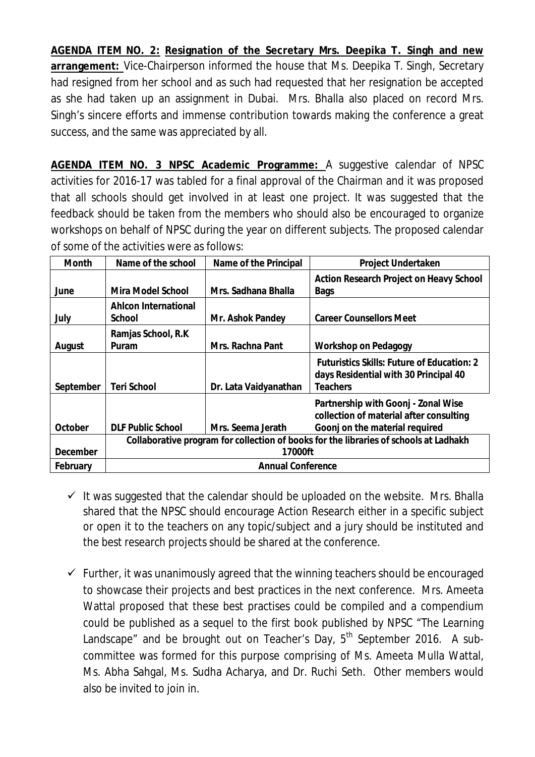**AGENDA ITEM NO. 2: Resignation of the Secretary Mrs. Deepika T. Singh and new arrangement:** Vice-Chairperson informed the house that Ms. Deepika T. Singh, Secretary had resigned from her school and as such had requested that her resignation be accepted as she had taken up an assignment in Dubai. Mrs. Bhalla also placed on record Mrs. Singh's sincere efforts and immense contribution towards making the conference a great success, and the same was appreciated by all.

**AGENDA ITEM NO. 3 NPSC Academic Programme:** A suggestive calendar of NPSC activities for 2016-17 was tabled for a final approval of the Chairman and it was proposed that all schools should get involved in at least one project. It was suggested that the feedback should be taken from the members who should also be encouraged to organize workshops on behalf of NPSC during the year on different subjects. The proposed calendar of some of the activities were as follows:

| Month     | Name of the school                                                                    | Name of the Principal | Project Undertaken                                                                  |
|-----------|---------------------------------------------------------------------------------------|-----------------------|-------------------------------------------------------------------------------------|
|           |                                                                                       |                       | Action Research Project on Heavy School                                             |
| June      | Mira Model School                                                                     | Mrs. Sadhana Bhalla   | Bags                                                                                |
|           | Ahlcon International                                                                  |                       |                                                                                     |
| July      | School                                                                                | Mr. Ashok Pandey      | <b>Career Counsellors Meet</b>                                                      |
|           | Ramjas School, R.K.                                                                   |                       |                                                                                     |
| August    | Puram                                                                                 | Mrs. Rachna Pant      | Workshop on Pedagogy                                                                |
|           |                                                                                       |                       | Futuristics Skills: Future of Education: 2<br>days Residential with 30 Principal 40 |
| September | Teri School                                                                           | Dr. Lata Vaidyanathan | <b>Teachers</b>                                                                     |
|           |                                                                                       |                       | Partnership with Goonj - Zonal Wise<br>collection of material after consulting      |
| October   | <b>DLF Public School</b>                                                              | Mrs. Seema Jerath     | Goonj on the material required                                                      |
|           | Collaborative program for collection of books for the libraries of schools at Ladhakh |                       |                                                                                     |
| December  | 17000ft                                                                               |                       |                                                                                     |
| February  | <b>Annual Conference</b>                                                              |                       |                                                                                     |

- $\checkmark$  It was suggested that the calendar should be uploaded on the website. Mrs. Bhalla shared that the NPSC should encourage Action Research either in a specific subject or open it to the teachers on any topic/subject and a jury should be instituted and the best research projects should be shared at the conference.
- $\checkmark$  Further, it was unanimously agreed that the winning teachers should be encouraged to showcase their projects and best practices in the next conference. Mrs. Ameeta Wattal proposed that these best practises could be compiled and a compendium could be published as a sequel to the first book published by NPSC "The Learning Landscape" and be brought out on Teacher's Day,  $5<sup>th</sup>$  September 2016. A subcommittee was formed for this purpose comprising of Ms. Ameeta Mulla Wattal, Ms. Abha Sahgal, Ms. Sudha Acharya, and Dr. Ruchi Seth. Other members would also be invited to join in.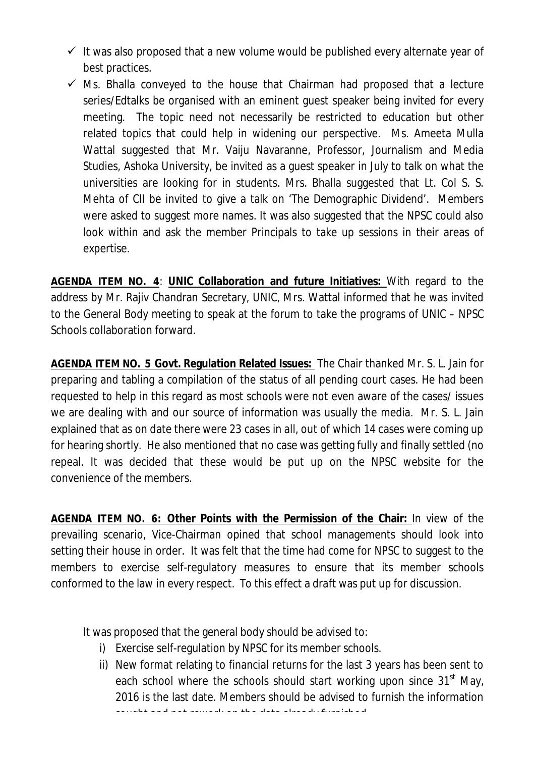- $\checkmark$  It was also proposed that a new volume would be published every alternate year of best practices.
- $\checkmark$  Ms. Bhalla conveyed to the house that Chairman had proposed that a lecture series/Edtalks be organised with an eminent guest speaker being invited for every meeting. The topic need not necessarily be restricted to education but other related topics that could help in widening our perspective. Ms. Ameeta Mulla Wattal suggested that Mr. Vaiju Navaranne, Professor, Journalism and Media Studies, Ashoka University, be invited as a guest speaker in July to talk on what the universities are looking for in students. Mrs. Bhalla suggested that Lt. Col S. S. Mehta of CII be invited to give a talk on 'The Demographic Dividend'. Members were asked to suggest more names. It was also suggested that the NPSC could also look within and ask the member Principals to take up sessions in their areas of expertise.

**AGENDA ITEM NO. 4**: **UNIC Collaboration and future Initiatives:** With regard to the address by Mr. Rajiv Chandran Secretary, UNIC, Mrs. Wattal informed that he was invited to the General Body meeting to speak at the forum to take the programs of UNIC – NPSC Schools collaboration forward.

**AGENDA ITEM NO. 5 Govt. Regulation Related Issues:** The Chair thanked Mr. S. L. Jain for preparing and tabling a compilation of the status of all pending court cases. He had been requested to help in this regard as most schools were not even aware of the cases/ issues we are dealing with and our source of information was usually the media. Mr. S. L. Jain explained that as on date there were 23 cases in all, out of which 14 cases were coming up for hearing shortly. He also mentioned that no case was getting fully and finally settled (no repeal. It was decided that these would be put up on the NPSC website for the convenience of the members.

**AGENDA ITEM NO. 6: Other Points with the Permission of the Chair:** In view of the prevailing scenario, Vice-Chairman opined that school managements should look into setting their house in order. It was felt that the time had come for NPSC to suggest to the members to exercise self-regulatory measures to ensure that its member schools conformed to the law in every respect. To this effect a draft was put up for discussion.

It was proposed that the general body should be advised to:

- i) Exercise self-regulation by NPSC for its member schools.
- ii) New format relating to financial returns for the last 3 years has been sent to each school where the schools should start working upon since  $31<sup>st</sup>$  May, 2016 is the last date. Members should be advised to furnish the information sought and not rework on the data already furnished.